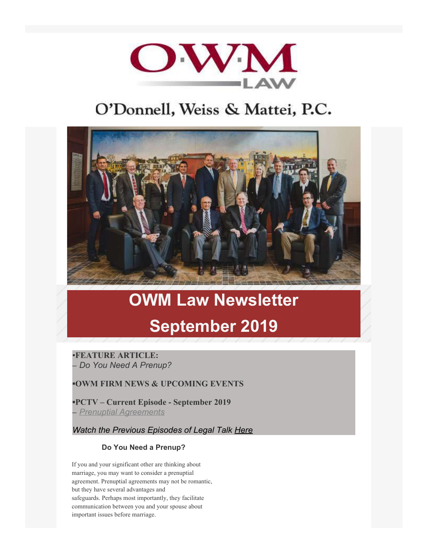

## O'Donnell, Weiss & Mattei, P.C.



# **OWM Law Newsletter September 2019**

▪**FEATURE ARTICLE: –** *Do You Need A Prenup?*

**▪OWM FIRM NEWS & UPCOMING EVENTS**

**▪PCTV – Current Episode - September 2019 –** *[Prenuptial Agreements](https://www.youtube.com/watch?v=cTHs3wZyiQA%20)*

*Watch the Previous Episodes of Legal Talk [Here](https://www.owmlaw.com/resources/legal-talk/)*

### **Do You Need a Prenup?**

If you and your significant other are thinking about marriage, you may want to consider a prenuptial agreement. Prenuptial agreements may not be romantic, but they have several advantages and safeguards. Perhaps most importantly, they facilitate communication between you and your spouse about important issues before marriage.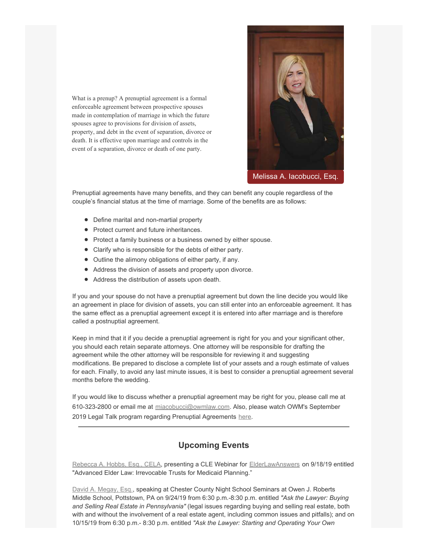What is a prenup? A prenuptial agreement is a formal enforceable agreement between prospective spouses made in contemplation of marriage in which the future spouses agree to provisions for division of assets, property, and debt in the event of separation, divorce or death. It is effective upon marriage and controls in the event of a separation, divorce or death of one party.



[Melissa A. Iacobucci, Esq.](https://www.owmlaw.com/attorney/iacobucci-melissa-a/)

Prenuptial agreements have many benefits, and they can benefit any couple regardless of the couple's financial status at the time of marriage. Some of the benefits are as follows:

- Define marital and non-martial property
- Protect current and future inheritances.
- Protect a family business or a business owned by either spouse.
- Clarify who is responsible for the debts of either party.
- Outline the alimony obligations of either party, if any.
- Address the division of assets and property upon divorce.
- Address the distribution of assets upon death.

If you and your spouse do not have a prenuptial agreement but down the line decide you would like an agreement in place for division of assets, you can still enter into an enforceable agreement. It has the same effect as a prenuptial agreement except it is entered into after marriage and is therefore called a postnuptial agreement.

Keep in mind that it if you decide a prenuptial agreement is right for you and your significant other, you should each retain separate attorneys. One attorney will be responsible for drafting the agreement while the other attorney will be responsible for reviewing it and suggesting modifications. Be prepared to disclose a complete list of your assets and a rough estimate of values for each. Finally, to avoid any last minute issues, it is best to consider a prenuptial agreement several months before the wedding.

If you would like to discuss whether a prenuptial agreement may be right for you, please call me at 610-323-2800 or email me at [miacobucci@owmlaw.com](mailto:miacobucci@owmlaw.com). Also, please watch OWM's September 2019 Legal Talk program regarding Prenuptial Agreements [here](https://www.youtube.com/watch?v=cTHs3wZyiQA%20).

### **Upcoming Events**

[Rebecca A. Hobbs, Esq., CELA](https://www.owmlaw.com/attorney/hobbs-rebecca-a-cela/), presenting a CLE Webinar for [ElderLawAnswers](http://www.elderlawanswers.com/) on 9/18/19 entitled "Advanced Elder Law: Irrevocable Trusts for Medicaid Planning."

[David A. Megay, Esq.](https://www.owmlaw.com/attorney/megay-david-a/), speaking at Chester County Night School Seminars at Owen J. Roberts Middle School, Pottstown, PA on 9/24/19 from 6:30 p.m.-8:30 p.m. entitled *"Ask the Lawyer: Buying and Selling Real Estate in Pennsylvania"* (legal issues regarding buying and selling real estate, both with and without the involvement of a real estate agent, including common issues and pitfalls); and on 10/15/19 from 6:30 p.m.- 8:30 p.m. entitled *"Ask the Lawyer: Starting and Operating Your Own*